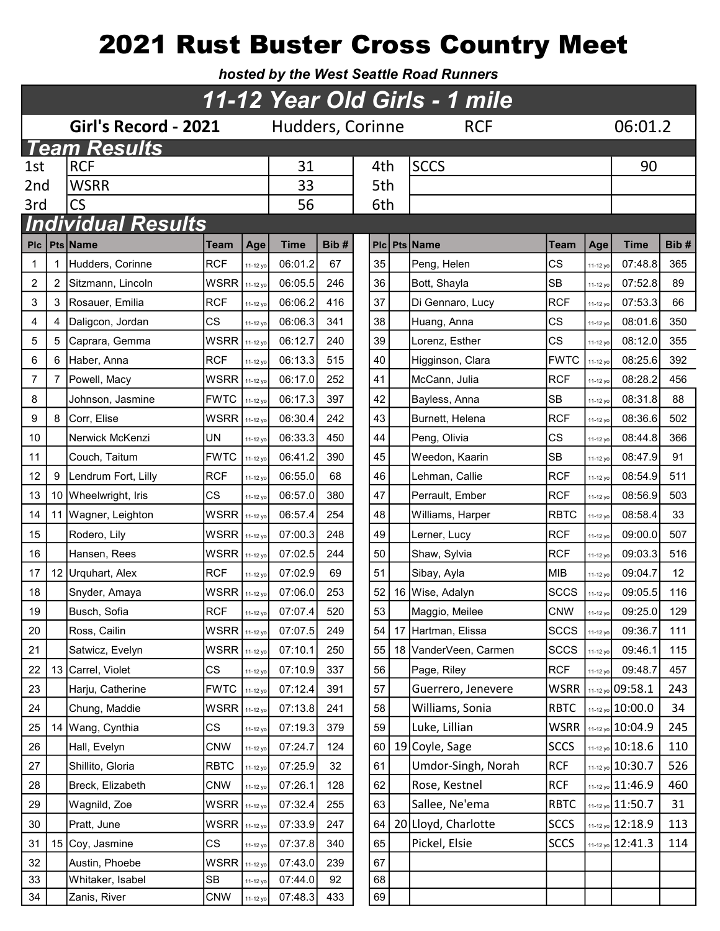# 2021 Rust Buster Cross Country Meet

hosted by the West Seattle Road Runners

|     | 11-12 Year Old Girls - 1 mile |                           |                                |          |             |      |     |  |                       |             |          |                      |      |  |
|-----|-------------------------------|---------------------------|--------------------------------|----------|-------------|------|-----|--|-----------------------|-------------|----------|----------------------|------|--|
|     |                               | Girl's Record - 2021      | Hudders, Corinne<br><b>RCF</b> |          |             |      |     |  |                       | 06:01.2     |          |                      |      |  |
|     |                               | <b>Team Results</b>       |                                |          |             |      |     |  |                       |             |          |                      |      |  |
| 1st |                               | <b>RCF</b>                |                                |          | 31          |      | 4th |  | <b>SCCS</b>           |             |          | 90                   |      |  |
| 2nd |                               | <b>WSRR</b>               |                                |          | 33          |      | 5th |  |                       |             |          |                      |      |  |
| 3rd |                               | $\mathsf{CS}\phantom{0}$  |                                |          | 56          |      | 6th |  |                       |             |          |                      |      |  |
|     |                               | <b>Individual Results</b> |                                |          |             |      |     |  |                       |             |          |                      |      |  |
| Plc |                               | <b>Pts Name</b>           | Team                           | Age      | <b>Time</b> | Bib# |     |  | <b>PIc Pts Name</b>   | <b>Team</b> | Age      | <b>Time</b>          | Bib# |  |
| 1   |                               | Hudders, Corinne          | <b>RCF</b>                     | 11-12 yo | 06:01.2     | 67   | 35  |  | Peng, Helen           | <b>CS</b>   | 11-12 yo | 07:48.8              | 365  |  |
| 2   | 2                             | Sitzmann, Lincoln         | WSRR                           | 11-12 yo | 06:05.5     | 246  | 36  |  | Bott, Shayla          | <b>SB</b>   | 11-12 yo | 07:52.8              | 89   |  |
| 3   | 3                             | Rosauer, Emilia           | <b>RCF</b>                     | 11-12 yo | 06:06.2     | 416  | 37  |  | Di Gennaro, Lucy      | <b>RCF</b>  | 11-12 yo | 07:53.3              | 66   |  |
| 4   | 4                             | Daligcon, Jordan          | CS                             | 11-12 yo | 06:06.3     | 341  | 38  |  | Huang, Anna           | <b>CS</b>   | 11-12 yo | 08:01.6              | 350  |  |
| 5   | 5                             | Caprara, Gemma            | <b>WSRR</b>                    | 11-12 yo | 06:12.7     | 240  | 39  |  | Lorenz, Esther        | <b>CS</b>   | 11-12 yo | 08:12.0              | 355  |  |
| 6   | 6                             | Haber, Anna               | <b>RCF</b>                     | 11-12 yo | 06:13.3     | 515  | 40  |  | Higginson, Clara      | <b>FWTC</b> | 11-12 yo | 08:25.6              | 392  |  |
| 7   | 7                             | Powell, Macy              | <b>WSRR</b>                    | 11-12 yo | 06:17.0     | 252  | 41  |  | McCann, Julia         | <b>RCF</b>  | 11-12 yo | 08:28.2              | 456  |  |
| 8   |                               | Johnson, Jasmine          | <b>FWTC</b>                    | 11-12 yo | 06:17.3     | 397  | 42  |  | Bayless, Anna         | <b>SB</b>   | 11-12 yo | 08:31.8              | 88   |  |
| 9   | 8                             | Corr, Elise               | <b>WSRR</b>                    | 11-12 yo | 06:30.4     | 242  | 43  |  | Burnett, Helena       | <b>RCF</b>  | 11-12 yo | 08:36.6              | 502  |  |
| 10  |                               | Nerwick McKenzi           | UN                             | 11-12 yo | 06:33.3     | 450  | 44  |  | Peng, Olivia          | <b>CS</b>   | 11-12 yo | 08:44.8              | 366  |  |
| 11  |                               | Couch, Taitum             | <b>FWTC</b>                    | 11-12 yc | 06:41.2     | 390  | 45  |  | Weedon, Kaarin        | <b>SB</b>   | 11-12 yo | 08:47.9              | 91   |  |
| 12  | 9                             | Lendrum Fort, Lilly       | <b>RCF</b>                     | 11-12 yo | 06:55.0     | 68   | 46  |  | Lehman, Callie        | <b>RCF</b>  | 11-12 yo | 08:54.9              | 511  |  |
| 13  |                               | 10 Wheelwright, Iris      | CS                             | 11-12 yo | 06:57.0     | 380  | 47  |  | Perrault, Ember       | <b>RCF</b>  | 11-12 yo | 08:56.9              | 503  |  |
| 14  |                               | 11   Wagner, Leighton     | <b>WSRR</b>                    | 11-12 yo | 06:57.4     | 254  | 48  |  | Williams, Harper      | <b>RBTC</b> | 11-12 yo | 08:58.4              | 33   |  |
| 15  |                               | Rodero, Lily              | <b>WSRR</b>                    | 11-12 yc | 07:00.3     | 248  | 49  |  | Lerner, Lucy          | <b>RCF</b>  | 11-12 yo | 09:00.0              | 507  |  |
| 16  |                               | Hansen, Rees              | <b>WSRR</b>                    | 11-12 yo | 07:02.5     | 244  | 50  |  | Shaw, Sylvia          | <b>RCF</b>  | 11-12 yo | 09:03.3              | 516  |  |
| 17  |                               | 12 Urquhart, Alex         | <b>RCF</b>                     | 11-12 yo | 07:02.9     | 69   | 51  |  | Sibay, Ayla           | <b>MIB</b>  | 11-12 yo | 09:04.7              | 12   |  |
| 18  |                               | Snyder, Amaya             | WSRR                           | 11-12 yo | 07:06.0     | 253  | 52  |  | 16 Wise, Adalyn       | <b>SCCS</b> | 11-12 yo | 09:05.5              | 116  |  |
| 19  |                               | Busch, Sofia              | <b>RCF</b>                     | 11-12 yo | 07:07.4     | 520  | 53  |  | Maggio, Meilee        | <b>CNW</b>  | 11-12 yo | 09:25.0              | 129  |  |
| 20  |                               | Ross, Cailin              | $WSRR$ 11-12 yo                |          | 07:07.5     | 249  | 54  |  | 17 Hartman, Elissa    | <b>SCCS</b> | 11-12 yo | 09:36.7              | 111  |  |
| 21  |                               | Satwicz, Evelyn           | <b>WSRR</b>                    | 11-12 yo | 07:10.1     | 250  | 55  |  | 18 VanderVeen, Carmen | <b>SCCS</b> | 11-12 yo | 09:46.1              | 115  |  |
| 22  |                               | 13 Carrel, Violet         | CS                             | 11-12 yo | 07:10.9     | 337  | 56  |  | Page, Riley           | <b>RCF</b>  | 11-12 yo | 09:48.7              | 457  |  |
| 23  |                               | Harju, Catherine          | <b>FWTC</b>                    | 11-12 yo | 07:12.4     | 391  | 57  |  | Guerrero, Jenevere    | <b>WSRR</b> |          | 11-12 yo 09:58.1     | 243  |  |
| 24  |                               | Chung, Maddie             | <b>WSRR</b>                    | 11-12 yo | 07:13.8     | 241  | 58  |  | Williams, Sonia       | <b>RBTC</b> |          | 11-12 yo 10:00.0     | 34   |  |
| 25  |                               | 14 Wang, Cynthia          | CS                             | 11-12 yo | 07:19.3     | 379  | 59  |  | Luke, Lillian         | <b>WSRR</b> |          | $11-12$ yo $10:04.9$ | 245  |  |
| 26  |                               | Hall, Evelyn              | <b>CNW</b>                     | 11-12 yo | 07:24.7     | 124  | 60  |  | 19 Coyle, Sage        | <b>SCCS</b> |          | 11-12 yo 10:18.6     | 110  |  |
| 27  |                               | Shillito, Gloria          | <b>RBTC</b>                    | 11-12 yo | 07:25.9     | 32   | 61  |  | Umdor-Singh, Norah    | <b>RCF</b>  |          | 11-12 yo 10:30.7     | 526  |  |
| 28  |                               | Breck, Elizabeth          | <b>CNW</b>                     | 11-12 yo | 07:26.1     | 128  | 62  |  | Rose, Kestnel         | <b>RCF</b>  |          | 11-12 yo 11:46.9     | 460  |  |
| 29  |                               | Wagnild, Zoe              | WSRR                           | 11-12 yo | 07:32.4     | 255  | 63  |  | Sallee, Ne'ema        | <b>RBTC</b> |          | $11-12$ yo $11:50.7$ | 31   |  |
| 30  |                               | Pratt, June               | <b>WSRR</b>                    | 11-12 yo | 07:33.9     | 247  | 64  |  | 20 Lloyd, Charlotte   | <b>SCCS</b> |          | 11-12 yo 12:18.9     | 113  |  |
| 31  |                               | 15 Coy, Jasmine           | <b>CS</b>                      | 11-12 yo | 07:37.8     | 340  | 65  |  | Pickel, Elsie         | <b>SCCS</b> |          | 11-12 yo 12:41.3     | 114  |  |
| 32  |                               | Austin, Phoebe            | <b>WSRR</b>                    | 11-12 yo | 07:43.0     | 239  | 67  |  |                       |             |          |                      |      |  |
| 33  |                               | Whitaker, Isabel          | SB                             | 11-12 yo | 07:44.0     | 92   | 68  |  |                       |             |          |                      |      |  |
| 34  |                               | Zanis, River              | <b>CNW</b>                     | 11-12 yo | 07:48.3     | 433  | 69  |  |                       |             |          |                      |      |  |